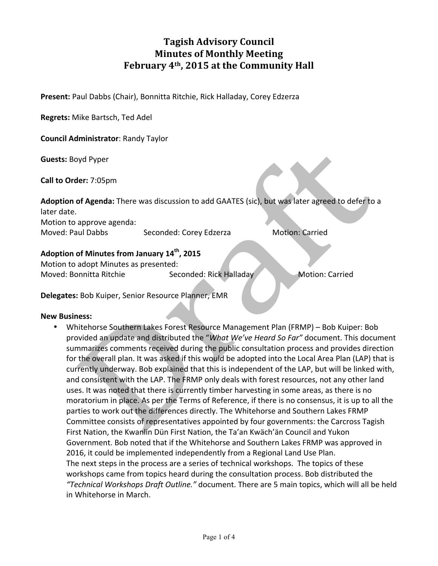# **Tagish Advisory Council Minutes of Monthly Meeting** February 4<sup>th</sup>, 2015 at the Community Hall

**Present:** Paul Dabbs (Chair), Bonnitta Ritchie, Rick Halladay, Corey Edzerza

**Regrets:** Mike Bartsch, Ted Adel

**Council Administrator: Randy Taylor** 

**Guests:** Boyd Pyper

**Call to Order:** 7:05pm

Adoption of Agenda: There was discussion to add GAATES (sic), but was later agreed to defer to a later date.

Motion to approve agenda: Moved: Paul Dabbs Seconded: Corey Edzerza Motion: Carried

#### Adoption of Minutes from January 14<sup>th</sup>, 2015

Motion to adopt Minutes as presented: Moved: Bonnitta Ritchie Seconded: Rick Halladay Motion: Carried

**Delegates:** Bob Kuiper, Senior Resource Planner, EMR

#### **New Business:**

Whitehorse Southern Lakes Forest Resource Management Plan (FRMP) – Bob Kuiper: Bob provided an update and distributed the "*What We've Heard So Far"* document. This document summarizes comments received during the public consultation process and provides direction for the overall plan. It was asked if this would be adopted into the Local Area Plan (LAP) that is currently underway. Bob explained that this is independent of the LAP, but will be linked with, and consistent with the LAP. The FRMP only deals with forest resources, not any other land uses. It was noted that there is currently timber harvesting in some areas, as there is no moratorium in place. As per the Terms of Reference, if there is no consensus, it is up to all the parties to work out the differences directly. The Whitehorse and Southern Lakes FRMP Committee consists of representatives appointed by four governments: the Carcross Tagish First Nation, the Kwanlin Dün First Nation, the Ta'an Kwäch'än Council and Yukon Government. Bob noted that if the Whitehorse and Southern Lakes FRMP was approved in 2016, it could be implemented independently from a Regional Land Use Plan. The next steps in the process are a series of technical workshops. The topics of these workshops came from topics heard during the consultation process. Bob distributed the "Technical Workshops Draft Outline." document. There are 5 main topics, which will all be held in Whitehorse in March.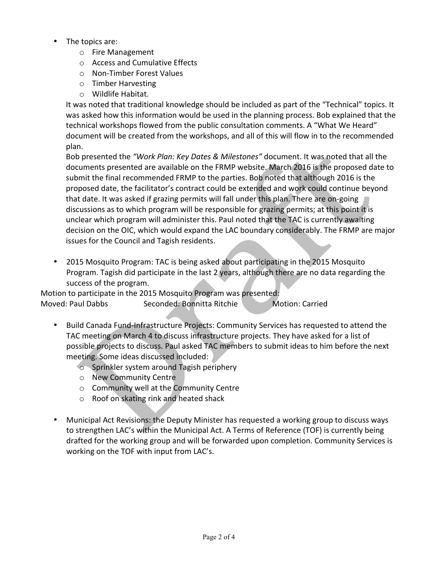- The topics are:
	- $\circ$  Fire Management
	- $\circ$  Access and Cumulative Effects
	- o Non-Timber Forest Values
	- $\circ$  Timber Harvesting
	- o Wildlife Habitat.

It was noted that traditional knowledge should be included as part of the "Technical" topics. It was asked how this information would be used in the planning process. Bob explained that the technical workshops flowed from the public consultation comments. A "What We Heard" document will be created from the workshops, and all of this will flow in to the recommended plan. 

Bob presented the "Work Plan: Key Dates & Milestones" document. It was noted that all the documents presented are available on the FRMP website. March 2016 is the proposed date to submit the final recommended FRMP to the parties. Bob noted that although 2016 is the proposed date, the facilitator's contract could be extended and work could continue beyond that date. It was asked if grazing permits will fall under this plan. There are on-going discussions as to which program will be responsible for grazing permits; at this point it is unclear which program will administer this. Paul noted that the TAC is currently awaiting decision on the OIC, which would expand the LAC boundary considerably. The FRMP are major issues for the Council and Tagish residents.

• 2015 Mosquito Program: TAC is being asked about participating in the 2015 Mosquito Program. Tagish did participate in the last 2 years, although there are no data regarding the success of the program.

Motion to participate in the 2015 Mosquito Program was presented: Moved: Paul Dabbs Seconded: Bonnitta Ritchie Motion: Carried

- Build Canada Fund-Infrastructure Projects: Community Services has requested to attend the TAC meeting on March 4 to discuss infrastructure projects. They have asked for a list of possible projects to discuss. Paul asked TAC members to submit ideas to him before the next meeting. Some ideas discussed included:
	- $\circ$  Sprinkler system around Tagish periphery
	- o New Community Centre
	- $\circ$  Community well at the Community Centre
	- $\circ$  Roof on skating rink and heated shack
- Municipal Act Revisions: the Deputy Minister has requested a working group to discuss ways to strengthen LAC's within the Municipal Act. A Terms of Reference (TOF) is currently being drafted for the working group and will be forwarded upon completion. Community Services is working on the TOF with input from LAC's.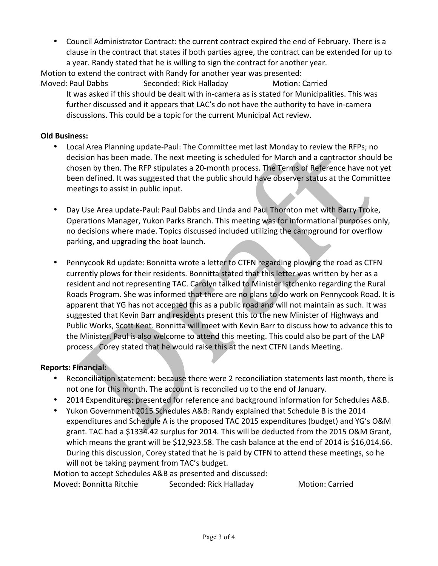• Council Administrator Contract: the current contract expired the end of February. There is a clause in the contract that states if both parties agree, the contract can be extended for up to a year. Randy stated that he is willing to sign the contract for another year.

Motion to extend the contract with Randy for another year was presented: Moved: Paul Dabbs Seconded: Rick Halladay Motion: Carried

It was asked if this should be dealt with in-camera as is stated for Municipalities. This was further discussed and it appears that LAC's do not have the authority to have in-camera discussions. This could be a topic for the current Municipal Act review.

#### **Old Business:**

- Local Area Planning update-Paul: The Committee met last Monday to review the RFPs; no decision has been made. The next meeting is scheduled for March and a contractor should be chosen by then. The RFP stipulates a 20-month process. The Terms of Reference have not yet been defined. It was suggested that the public should have observer status at the Committee meetings to assist in public input.
- Day Use Area update-Paul: Paul Dabbs and Linda and Paul Thornton met with Barry Troke, Operations Manager, Yukon Parks Branch. This meeting was for informational purposes only, no decisions where made. Topics discussed included utilizing the campground for overflow parking, and upgrading the boat launch.
- Pennycook Rd update: Bonnitta wrote a letter to CTFN regarding plowing the road as CTFN currently plows for their residents. Bonnitta stated that this letter was written by her as a resident and not representing TAC. Carolyn talked to Minister Istchenko regarding the Rural Roads Program. She was informed that there are no plans to do work on Pennycook Road. It is apparent that YG has not accepted this as a public road and will not maintain as such. It was suggested that Kevin Barr and residents present this to the new Minister of Highways and Public Works, Scott Kent. Bonnitta will meet with Kevin Barr to discuss how to advance this to the Minister. Paul is also welcome to attend this meeting. This could also be part of the LAP process. Corey stated that he would raise this at the next CTFN Lands Meeting.

### **Reports: Financial:**

- Reconciliation statement: because there were 2 reconciliation statements last month, there is not one for this month. The account is reconciled up to the end of January.
- 2014 Expenditures: presented for reference and background information for Schedules A&B.
- Yukon Government 2015 Schedules A&B: Randy explained that Schedule B is the 2014 expenditures and Schedule A is the proposed TAC 2015 expenditures (budget) and YG's O&M grant. TAC had a \$1334.42 surplus for 2014. This will be deducted from the 2015 O&M Grant, which means the grant will be \$12,923.58. The cash balance at the end of 2014 is \$16,014.66. During this discussion, Corey stated that he is paid by CTFN to attend these meetings, so he will not be taking payment from TAC's budget.

Motion to accept Schedules A&B as presented and discussed:

Moved: Bonnitta Ritchie Seconded: Rick Halladay Motion: Carried